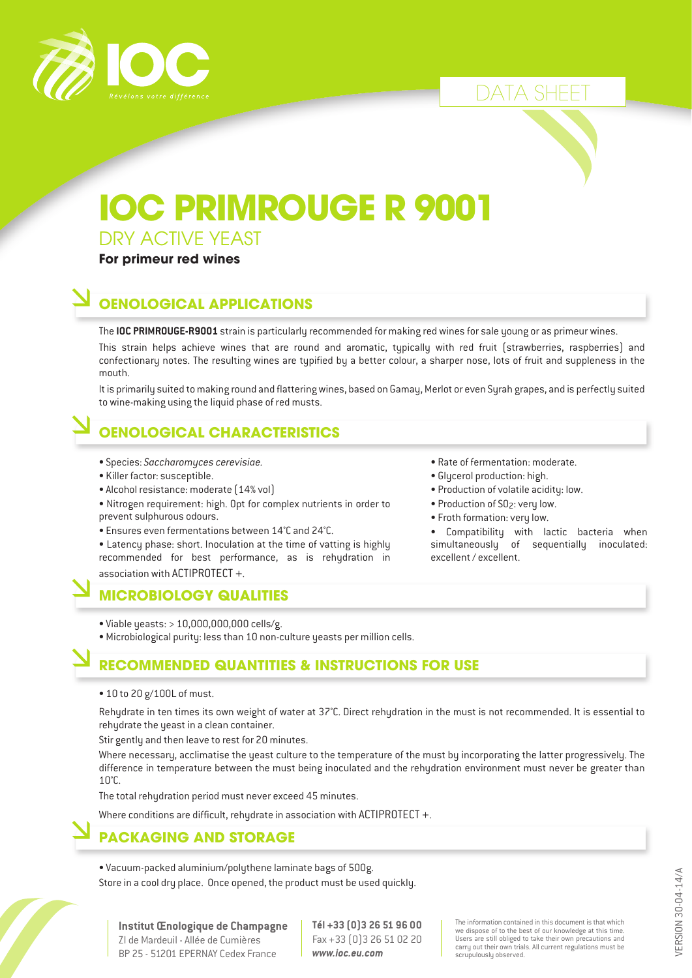

# DATA SHEET

# **IOC PRIMROUGE R 9001**

DRY ACTIVE YEAST

#### **For primeur red wines**

### **OENOLOGICAL APPLICATIONS**

The **IOC PRIMROUGE-R9001** strain is particularly recommended for making red wines for sale young or as primeur wines.

This strain helps achieve wines that are round and aromatic, typically with red fruit (strawberries, raspberries) and confectionary notes. The resulting wines are typified by a better colour, a sharper nose, lots of fruit and suppleness in the mouth.

It is primarily suited to making round and flattering wines, based on Gamay, Merlot or even Syrah grapes, and is perfectly suited to wine-making using the liquid phase of red musts.

## **OENOLOGICAL CHARACTERISTICS**

- Species: *Saccharomyces cerevisiae.*
- Killer factor: susceptible.
- Alcohol resistance: moderate (14% vol)
- Nitrogen requirement: high. Opt for complex nutrients in order to prevent sulphurous odours.
- Ensures even fermentations between 14°C and 24°C.

• Latency phase: short. Inoculation at the time of vatting is highly recommended for best performance, as is rehydration in association with ACTIPROTECT +.

#### **MICROBIOLOGY QUALITIES**

- Viable yeasts: > 10,000,000,000 cells/g.
- Microbiological purity: less than 10 non-culture yeasts per million cells.

#### **RECOMMENDED QUANTITIES & INSTRUCTIONS FOR USE**

• 10 to 20 g/100L of must.

Rehydrate in ten times its own weight of water at 37°C. Direct rehydration in the must is not recommended. It is essential to rehydrate the yeast in a clean container.

Stir gently and then leave to rest for 20 minutes.

Where necessary, acclimatise the yeast culture to the temperature of the must by incorporating the latter progressively. The difference in temperature between the must being inoculated and the rehydration environment must never be greater than 10°C.

The total rehydration period must never exceed 45 minutes.

Where conditions are difficult, rehydrate in association with ACTIPROTECT +.

#### **PACKAGING AND STORAGE**

• Vacuum-packed aluminium/polythene laminate bags of 500g. Store in a cool dry place. Once opened, the product must be used quickly.

- Rate of fermentation: moderate.
- Glycerol production: high.
- Production of volatile acidity: low.
- Production of SO2: very low.
- Froth formation: very low.

Compatibility with lactic bacteria when simultaneouslu of sequentiallu inoculated: excellent / excellent.

> VERSION 30-04-14/A VERSION 30-04-14/A

**Institut Œnologique de Champagne** ZI de Mardeuil - Allée de Cumières BP 25 - 51201 EPERNAY Cedex France

**Tél +33 (0)3 26 51 96 00** Fax +33 (0)3 26 51 02 20 *www.ioc.eu.com*